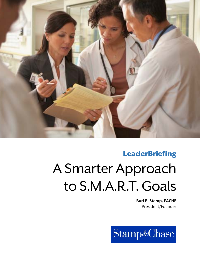

### **LeaderBriefing**

# A Smarter Approach to S.M.A.R.T. Goals

**Burl E. Stamp, FACHE**  President/Founder

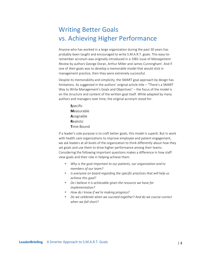## Writing Better Goals vs. Achieving Higher Performance

Anyone who has worked in a large organization during the past 30 years has probably been taught and encouraged to write S.M.A.R.T. goals. This easy-toremember acronym was originally introduced in a 1981 issue of *Management Review* by authors George Doran, Arthur Miller and James Cunninghami . And if one of *their* goals was to develop a memorable model that would stick in management practice, then they were extremely successful.

Despite its memorability and simplicity, the SMART goal approach by design has limitations. As suggested in the authors' original article title – "There's a SMART Way to Write Management's Goals and Objectives" – the focus of the model is on the structure and content of the written goal itself. While adapted by many authors and managers over time, the original acronym stood for:

> **S**pecific **M**easurable **A**ssignable **R**ealistic **T**ime‐Bound

If a leader's sole purpose is to craft better goals, this model is superb. But in work with health care organizations to improve employee and patient engagement, we ask leaders at all levels of the organization to think differently about how they set goals and use them to drive higher performance among their teams. Considering the following important questions makes a difference in how staff view goals and their role in helping achieve them.

- *Why is the goal important to our patients, our organization and to members of our team?*
- *Is everyone on board regarding the specific practices that will help us achieve this goal?*
- *Do I believe it is achievable given the resource we have for implementation?*
- *How do I know if we're making progress?*
- *Do we celebrate when we succeed together? And do we course-correct when we fall short?*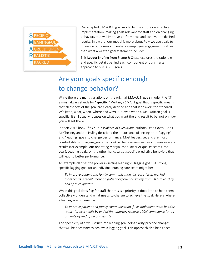

Our adapted S.M.A.R.T. goal model focuses more on effective implementation, making goals relevant for staff and on changing behaviors that will improve performance and achieve the desired results. In a word, our model is more about *how* we use goals to influence outcomes and enhance employee engagement, rather than what a written goal statement includes.

This **LeaderBriefing** from Stamp & Chase explores the rationale and specific details behind each component of our smarter approach to S.M.A.R.T. goals.

# Are your goals specific enough to change behavior?

While there are many variations on the original S.M.A.R.T. goals model, the "S" almost always stands for **"specific."** Writing a SMART goal that is specific means that all aspects of the goal are clearly defined and that it answers the standard 5 W's (who, what, when, where and why). But even when a well-written goal is specific, it still usually focuses on what you want the end result to be, not on *how* you will get there.

In their 2012 book *The Four Disciplines of Executionii*, authors Sean Covey, Chris McChesney and Jim Huling described the importance of setting both "lagging" and "leading" goals to change performance. Most leaders set and are most comfortable with lagging goals that look in the rear‐view mirror and measure end results (for example, our operating margin last quarter or quality scores last year). Leading goals, on the other hand, target specific predictive behaviors that will lead to better performance.

An example clarifies the power in setting leading vs. lagging goals. A strong, specific lagging goal for an individual nursing care team might be:

*To improve patient and family communication, increase "staff worked together as a team" score on patient experience survey from 78.5 to 81.0 by end of third quarter.* 

While this goal does flag for staff that this is a priority, it does little to help them collectively understand what needs to change to achieve the goal. Here is where a leading goal is beneficial.

*To improve patient and family communication, fully implement team bedside report for every shift by end of first quarter. Achieve 100% compliance for all patients by end of second quarter.* 

The specificity of a well-structured leading goal helps clarify practice changes that will be necessary to achieve a lagging goal. This approach also helps each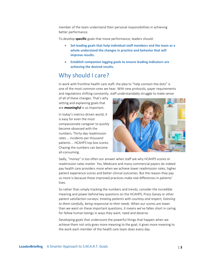member of the team understand their personal responsibilities in achieving better performance.

To develop **specific** goals that move performance, leaders should:

- **Set leading goals that help individual staff members and the team as a whole understand the changes in practice and behavior that will improve results.**
- **Establish companion lagging goals to ensure leading indicators are achieving the desired results.**

### Why should I care?

In work with frontline health care staff, the plea to "help connect-the-dots" is one of the most common ones we hear. With new protocols, payer requirements and regulations shifting constantly, staff understandably struggle to make sense

of all of these changes. That's why setting and explaining goals that are **meaningful** is so important.

In today's metrics‐driven world, it is easy for even the most compassionate caregiver to quickly become obsessed with the numbers. Thirty‐day readmission rates … incidents per thousand patients … HCAHPS top box scores. Chasing the numbers can become all‐consuming.



Sadly, "money" is too often our answer when staff ask why HCAHPS scores or readmission rates matter. Yes, Medicare and many commercial payers do indeed pay health care providers more when we achieve lower readmission rates, higher patient experience scores and better clinical outcomes. But the reason they pay us more is because these improved practices make real differences in patients' lives.

So rather than simply tracking the numbers and trends, consider the incredible meaning and power behind key questions on the HCAHPS, Press Ganey or other patient satisfaction surveys: *treating patients with courtesy and respect, listening to them carefully, being responsive to their needs*. When our scores are lower than we want on these important questions, it means we've fallen short in caring for fellow human beings in ways they want, need and deserve.

Developing goals that underscore the powerful things that happen when we achieve them not only gives more meaning to the goal; it gives more meaning to the work each member of the health care team does every day.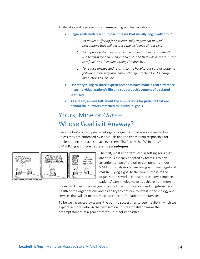To develop and leverage more **meaningful** goals, leaders should:

- **Begin goals with brief purpose phrases that usually begin with "to…"** 
	- o *To reduce suffering for patients, fully implement new fall precautions that will decrease the incidence of falls by …*
	- o *To improve patient assurance and understanding, consistently use teach‐back and open‐ended question that will increase "listen carefully" and "explained things" scores by …*
	- o *To reduce unexpected returns to the hospital for cardiac patients following their stay/procedure, change practice for discharge instructions to include …*
- **Use storytelling to share experiences that have made a real difference in an individual patient's life and support achievement of a related team goal.**
- **As a team, always talk about the implications for patients that are behind the numbers attached to individual goals.**

# Yours, Mine or *Ours* – Whose Goal is it Anyway?

Even the best crafted, precisely‐targeted organizational goals are ineffective unless they are embraced by individuals and the entire team responsible for implementing the tactics to achieve them. That's why the "A" in our smarter S.M.A.R.T. goals model represents **agreed‐upon**.



The first, most important step in setting goals that are enthusiastically adopted by teams is to pay attention to two of the other components in our S.M.A.R.T. goals model: making goals *meaningful* and *realistic*. Tying a goal to the core purpose of the organization's work – in health care, how it impacts patients' care – helps make its achievement more

meaningful. Even financial goals can be linked to the short- and long-term fiscal health of the organizations and its ability to continue to invest in technology and services that will ultimately make care better for patients and families.

To be well accepted by teams, the path to success has to been realistic, which we explore in more detail in the next section. It is reasonable to make the accomplishment of a goal a stretch – but not impossible.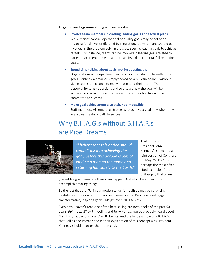To gain shared **agreement** on goals, leaders should:

- **Involve team members in crafting leading goals and tactical plans.**  While many financial, operational or quality goals may be set at an organizational level or dictated by regulation, teams can and should be involved in the problem‐solving that sets specific leading goals to achieve targets. For instance, teams can be involved in leading goals related to patient placement and education to achieve departmental fall reduction goals.
	- **Spend time talking about goals, not just posting them.**  Organizations and department leaders too often distribute well‐written goals – either via email or simply tacked on a bulletin board – without giving teams the chance to really understand their intent. The opportunity to ask questions and to discuss how the goal will be achieved is crucial for staff to truly embrace the objective and be committed to success.
- **Make goal achievement a stretch, not impossible.**  Staff members will embrace strategies to achieve a goal only when they see a clear, realistic path to success.

# Why B.H.A.G.s without B.H.A.R.s are Pipe Dreams



*"I believe that this nation should commit itself to achieving the goal, before this decade is out, of landing a man on the moon and returning him safely to the Earth."*

That quote from President John F. Kennedy's speech to a joint session of Congress on May 25, 1961, is perhaps the most often cited example of the philosophy that when

you set big goals, amazing things can happen. And who doesn't want to accomplish amazing things.

So the fact that the "R" in our model stands for **realistic** may be surprising. Realistic sounds so safe … hum‐drum … even boring. Don't we want bigger, transformative, inspiring goals? Maybe even "B.H.A.G.s"?

Even if you haven't read one of the best-selling business books of the past 50 years, *Built to Lastiii* by Jim Collins and Jerry Porras, you've probably heard about "big, hairy, audacious goals," or B.H.A.G.s. And the first example of a B.H.A.G. that Collins and Porras cited in their explanation of this concept was President Kennedy's bold, man‐on‐the‐moon goal.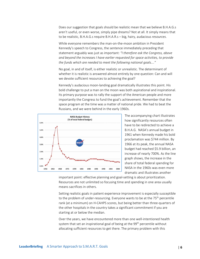Does our suggestion that goals should be realistic mean that we believe B.H.A.G.s aren't useful, or even worse, simply pipe dreams? Not at all. It simply means that to be realistic, B.H.A.G.s require B.H.A.R.s – big, hairy, audacious *resources*.

While everyone remembers the man‐on‐the‐moon ambition in President Kennedy's speech to Congress, the sentence immediately preceding that statement arguably was just as important: *"I therefore ask the Congress, above and beyond the increases I have earlier requested for space activities, to provide the funds which are needed to meet the following national goals…."*

No goal, in and of itself, is either realistic or unrealistic. The determinant of whether it is realistic is answered almost entirely by one question: Can and will we devote sufficient resources to achieving the goal?

Kennedy's audacious moon‐landing goal dramatically illustrates this point. His bold challenge to put a man on the moon was both aspirational and inspirational. Its primary purpose was to rally the support of the American people and more importantly the Congress to fund the goal's achievement. Remember that the space program at the time was a matter of national pride. We had to beat the Russians, and we were behind in the early 1960s.



The accompanying chart illustrates how significantly resources often have to be redirected to achieve a B.H.A.G. NASA's annual budget in 1961 when Kennedy made his bold proclamation was \$744 million. By 1966 at its peak, the annual NASA budget had reached \$5.9 billion, an increase of nearly 700%. As the line graph shows, the increase in the share of total federal spending for NASA in the 1960s was even more dramatic and illustrates another

important point: effective planning and goal-setting is about prioritization. Resources are not unlimited so focusing time and spending in one area usually means sacrifices in others.

Setting realistic goals in patient experience improvement is especially susceptible to the problem of under-resourcing. Everyone wants to be at the 75<sup>th</sup> percentile rank (at a minimum) on H‐CAHPS scores, but being better than three‐quarters of the other hospitals in the country takes a significant commitment if you are starting at or below the median.

Over the years, we have encountered more than one well‐intentioned health system that set an inspirational goal of being at the 99<sup>th</sup> percentile without allocating sufficient resources to get there. The primary problem with this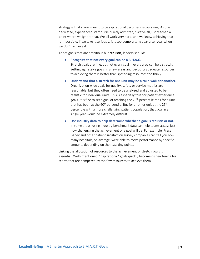strategy is that a goal meant to be aspirational becomes discouraging. As one dedicated, experienced staff nurse quietly admitted, "We've all just reached a point where we ignore that. We all work very hard, and we know achieving that is impossible. If we take it seriously, it is too demoralizing year after year when we don't achieve it."

To set goals that are ambitious but **realistic**, leaders should:

- **Recognize that not every goal can be a B.H.A.G.** Stretch goals are fine, but not every goal in every area can be a stretch.
	- Setting aggressive goals in a few areas and devoting adequate resources to achieving them is better than spreading resources too thinly.
- **Understand that a stretch for one unit may be a cake‐walk for another.**  Organization‐wide goals for quality, safety or service metrics are reasonable, but they often need to be analyzed and adjusted to be realistic for individual units. This is especially true for patient experience goals. It is fine to set a goal of reaching the 75<sup>th</sup> percentile rank for a unit that has been at the 60<sup>th</sup> percentile. But for another unit at the 25<sup>th</sup> percentile with a more challenging patient population, that goal in a single year would be extremely difficult.
- **Use industry data to help determine whether a goal is realistic or not.**  In some areas, using industry benchmark data can help teams assess just how challenging the achievement of a goal will be. For example, Press Ganey and other patient satisfaction survey companies can tell you how many hospitals, on average, were able to move performance by specific amounts depending on their starting points.

Linking the allocation of resources to the achievement of stretch goals is essential. Well-intentioned "inspirational" goals quickly become disheartening for teams that are hampered by too few resources to achieve them.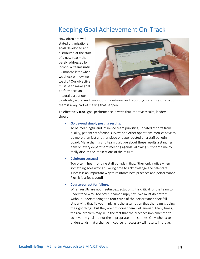### Keeping Goal Achievement On‐Track

How often are well‐ stated organizational goals developed and distributed at the start of a new year – then barely addressed by individual teams until 12 months later when we check on how well we did? Our objective must be to make goal performance an integral part of our



day-to-day work. And continuous monitoring and reporting current results to our team is a key part of making that happen.

To effectively **track** goal performance in ways that improve results, leaders should:

#### **Go beyond simply posting results.**

To be meaningful and influence team priorities, updated reports from quality, patient satisfaction surveys and other operations metrics have to be more than just another piece of paper posted on a staff bulletin board. Make sharing and team dialogue about these results a standing item on every department meeting agenda, allowing sufficient time to really discuss the implications of the results.

#### **Celebrate success!**

Too often I hear frontline staff complain that, "they only notice when something goes wrong." Taking time to acknowledge and celebrate success is an important way to reinforce best practices and performance. Plus, it just feels good!

#### **Course‐correct for failure.**

When results are not meeting expectations, it is critical for the team to understand why. Too often, teams simply say, "we must do better" without understanding the root cause of the performance shortfall. Underlying that flawed thinking is the assumption that the team is doing the right things, but they are not doing them well enough. Many times, the real problem may lie in the fact that the practices implemented to achieve the goal are not the appropriate or best ones. Only when a team understands that a change in course is necessary will results improve.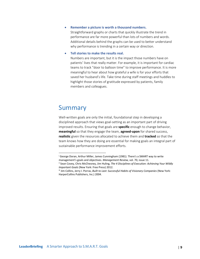**Remember a picture is worth a thousand numbers.** 

Straightforward graphs or charts that quickly illustrate the trend in performance are far more powerful than lots of numbers and words. Additional details behind the graphs can be used to better understand why performance is trending in a certain way or direction.

**Tell stories to make the results real.**

Numbers are important, but it is the impact those numbers have on patients' lives that really matter. For example, it is important for cardiac teams to track "door to balloon time" to improve performance. It is more meaningful to hear about how grateful a wife is for your efforts that saved her husband's life. Take time during staff meetings and huddles to highlight those stories of gratitude expressed by patients, family members and colleagues.

### Summary

Well-written goals are only the initial, foundational step in developing a disciplined approach that views goal‐setting as an important part of driving improved results. Ensuring that goals are **specific** enough to change behavior, **meaningful** so that they engage the team, **agreed‐upon** for shared success, **realistic** given the resources allocated to achieve them and **tracked** so that the team knows how they are doing are essential for making goals an integral part of sustainable performance improvement efforts.

i George Doran, Arthur Miller, James Cunningham (1981). There's a SMART way to write management's goals and objectives. *Management Review,* vol. 70, issue 11.

ii Sean Covey, Chris McChesney, Jim Huling, *The 4 Disciplines of Execution: Achieving Your Wildly Important Goals* (New York: Free Press) 2012.

iii Jim Collins, Jerry I. Porras, *Built to Last: Successful Habits of Visionary Companies* (New York: HarperCollins Publishers, Inc.) 2004.